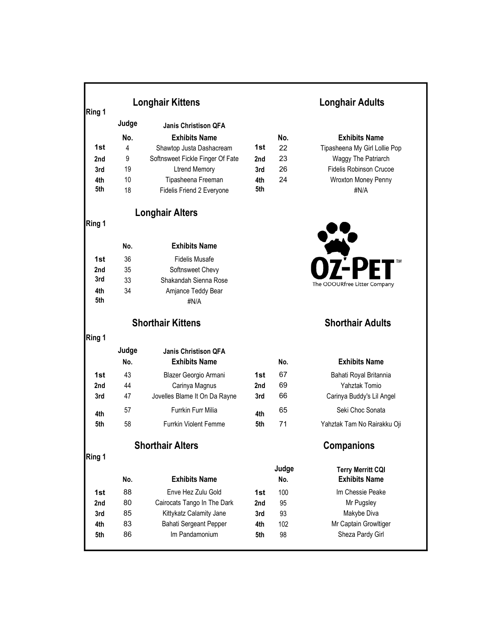| Ring 1     |       | <b>Longhair Kittens</b>          |     |       | <b>Longhair Adults</b>        |  |
|------------|-------|----------------------------------|-----|-------|-------------------------------|--|
|            | Judge | <b>Janis Christison QFA</b>      |     |       |                               |  |
|            | No.   | <b>Exhibits Name</b>             |     | No.   | <b>Exhibits Name</b>          |  |
| 1st        | 4     | Shawtop Justa Dashacream         | 1st | 22    | Tipasheena My Girl Lollie Pop |  |
| 2nd        | 9     | Softnsweet Fickle Finger Of Fate | 2nd | 23    | Waggy The Patriarch           |  |
| 3rd        | 19    | <b>Ltrend Memory</b>             | 3rd | 26    | Fidelis Robinson Crucoe       |  |
| 4th        | 10    | Tipasheena Freeman               | 4th | 24    | Wroxton Money Penny           |  |
| 5th        | 18    | Fidelis Friend 2 Everyone        | 5th |       | #N/A                          |  |
|            |       | <b>Longhair Alters</b>           |     |       |                               |  |
| Ring 1     |       |                                  |     |       |                               |  |
|            | No.   | <b>Exhibits Name</b>             |     |       | <b>AND</b><br>DZ-P            |  |
| 1st        | 36    | Fidelis Musafe                   |     |       |                               |  |
| 2nd        | 35    | Softnsweet Chevy                 |     |       |                               |  |
| 3rd        | 33    | Shakandah Sienna Rose            |     |       | The ODOURfree Litter Company  |  |
| 4th<br>5th | 34    | Amjance Teddy Bear<br>#N/A       |     |       |                               |  |
|            |       | <b>Shorthair Kittens</b>         |     |       | <b>Shorthair Adults</b>       |  |
| Ring 1     |       |                                  |     |       |                               |  |
|            | Judge | <b>Janis Christison QFA</b>      |     |       |                               |  |
|            | No.   | <b>Exhibits Name</b>             |     | No.   | <b>Exhibits Name</b>          |  |
| 1st        | 43    | Blazer Georgio Armani            | 1st | 67    | Bahati Royal Britannia        |  |
| 2nd        | 44    | Carinya Magnus                   | 2nd | 69    | Yahztak Tomio                 |  |
| 3rd        | 47    | Jovelles Blame It On Da Rayne    | 3rd | 66    | Carinya Buddy's Lil Angel     |  |
| 4th        | 57    | Furrkin Furr Milia               | 4th | 65    | Seki Choc Sonata              |  |
| 5th        | 58    | <b>Furrkin Violent Femme</b>     | 5th | 71    | Yahztak Tam No Rairakku Oji   |  |
|            |       | <b>Shorthair Alters</b>          |     |       | <b>Companions</b>             |  |
| Ring 1     |       |                                  |     | Judge | <b>Terry Merritt CQI</b>      |  |
|            | No.   | <b>Exhibits Name</b>             |     | No.   | <b>Exhibits Name</b>          |  |
| 1st        | 88    | Enve Hez Zulu Gold               | 1st | 100   | Im Chessie Peake              |  |
| 2nd        | 80    | Cairocats Tango In The Dark      | 2nd | 95    | Mr Pugsley                    |  |
| 3rd        | 85    | Kittykatz Calamity Jane          | 3rd | 93    | Makybe Diva                   |  |
| 4th        | 83    | Bahati Sergeant Pepper           | 4th | 102   | Mr Captain Growltiger         |  |
| 5th        | 86    | Im Pandamonium                   | 5th | 98    | Sheza Pardy Girl              |  |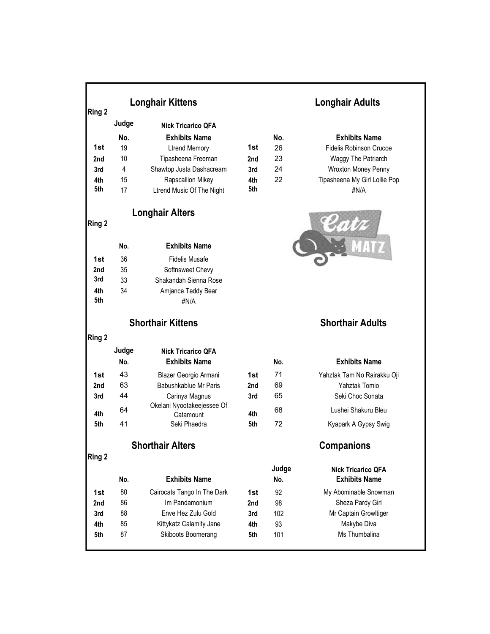| Ring 2     |                                    | <b>Longhair Kittens</b>                 |     |              | <b>Longhair Adults</b>                            |  |  |
|------------|------------------------------------|-----------------------------------------|-----|--------------|---------------------------------------------------|--|--|
|            | Judge<br><b>Nick Tricarico QFA</b> |                                         |     |              |                                                   |  |  |
|            | No.                                | <b>Exhibits Name</b>                    |     | No.          | <b>Exhibits Name</b>                              |  |  |
| 1st        | 19                                 | <b>Ltrend Memory</b>                    | 1st | 26           | <b>Fidelis Robinson Crucoe</b>                    |  |  |
| 2nd        | 10                                 | Tipasheena Freeman                      | 2nd | 23           | Waggy The Patriarch                               |  |  |
| 3rd        | 4                                  | Shawtop Justa Dashacream                | 3rd | 24           | Wroxton Money Penny                               |  |  |
| 4th        | 15                                 | Rapscallion Mikey                       | 4th | 22           | Tipasheena My Girl Lollie Pop                     |  |  |
| 5th        | 17                                 | Ltrend Music Of The Night               | 5th |              | #N/A                                              |  |  |
| Ring 2     |                                    | <b>Longhair Alters</b>                  |     |              |                                                   |  |  |
|            |                                    |                                         |     |              |                                                   |  |  |
|            | No.                                | <b>Exhibits Name</b>                    |     |              |                                                   |  |  |
| 1st        | 36                                 | <b>Fidelis Musafe</b>                   |     |              |                                                   |  |  |
| 2nd        | 35                                 | Softnsweet Chevy                        |     |              |                                                   |  |  |
| 3rd        | 33                                 | Shakandah Sienna Rose                   |     |              |                                                   |  |  |
| 4th<br>5th | 34                                 | Amjance Teddy Bear<br>#N/A              |     |              |                                                   |  |  |
|            | <b>Shorthair Kittens</b>           |                                         |     |              | <b>Shorthair Adults</b>                           |  |  |
| Ring 2     |                                    |                                         |     |              |                                                   |  |  |
|            | Judge                              | <b>Nick Tricarico QFA</b>               |     |              |                                                   |  |  |
|            | No.                                | <b>Exhibits Name</b>                    |     | No.          | <b>Exhibits Name</b>                              |  |  |
| 1st        | 43                                 | Blazer Georgio Armani                   | 1st | 71           | Yahztak Tam No Rairakku Oji                       |  |  |
| 2nd        | 63                                 | Babushkablue Mr Paris                   | 2nd | 69           | Yahztak Tomio                                     |  |  |
| 3rd        | 44                                 | Carinya Magnus                          | 3rd | 65           | Seki Choc Sonata                                  |  |  |
| 4th        | 64                                 | Okelani Nyootakeejessee Of<br>Catamount | 4th | 68           | Lushei Shakuru Bleu                               |  |  |
| 5th        | 41                                 | Seki Phaedra                            | 5th | 72           | Kyapark A Gypsy Swig                              |  |  |
|            |                                    | <b>Shorthair Alters</b>                 |     |              | <b>Companions</b>                                 |  |  |
| Ring 2     |                                    |                                         |     |              |                                                   |  |  |
|            | No.                                | <b>Exhibits Name</b>                    |     | Judge<br>No. | <b>Nick Tricarico QFA</b><br><b>Exhibits Name</b> |  |  |
| 1st        | 80                                 | Cairocats Tango In The Dark             | 1st | 92           | My Abominable Snowman                             |  |  |
| 2nd        | 86                                 | Im Pandamonium                          | 2nd | 98           | Sheza Pardy Girl                                  |  |  |
| 3rd        | 88                                 | Enve Hez Zulu Gold                      | 3rd | 102          | Mr Captain Growltiger                             |  |  |
| 4th        | 85                                 | Kittykatz Calamity Jane                 | 4th | 93           | Makybe Diva                                       |  |  |
| 5th        | 87                                 | Skiboots Boomerang                      | 5th | 101          | Ms Thumbalina                                     |  |  |
|            |                                    |                                         |     |              |                                                   |  |  |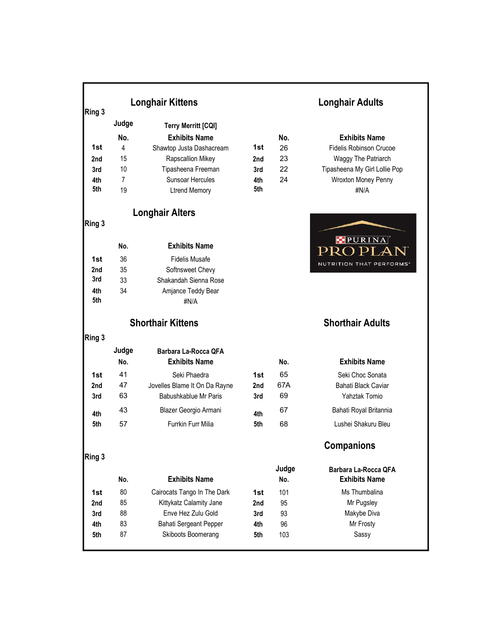|        |                          | <b>Longhair Kittens</b>                            |     |       | <b>Longhair Adults</b>         |
|--------|--------------------------|----------------------------------------------------|-----|-------|--------------------------------|
| Ring 3 | Judge                    |                                                    |     |       |                                |
|        | No.                      | <b>Terry Merritt [CQI]</b><br><b>Exhibits Name</b> |     | No.   | <b>Exhibits Name</b>           |
| 1st    | 4                        | Shawtop Justa Dashacream                           | 1st | 26    | <b>Fidelis Robinson Crucoe</b> |
| 2nd    | 15                       | Rapscallion Mikey                                  | 2nd | 23    | Waggy The Patriarch            |
| 3rd    | 10                       | Tipasheena Freeman                                 | 3rd | 22    | Tipasheena My Girl Lollie Pop  |
| 4th    | $\overline{7}$           | Sunsoar Hercules                                   | 4th | 24    | Wroxton Money Penny            |
| 5th    | 19                       | <b>Ltrend Memory</b>                               | 5th |       | #N/A                           |
|        |                          | <b>Longhair Alters</b>                             |     |       |                                |
| Ring 3 |                          |                                                    |     |       |                                |
|        | No.                      | <b>Exhibits Name</b>                               |     |       | PURINA                         |
| 1st    | 36                       | <b>Fidelis Musafe</b>                              |     |       |                                |
| 2nd    | 35                       | Softnsweet Chevy                                   |     |       | NUTRITION THAT PERFORMS*       |
| 3rd    | 33                       | Shakandah Sienna Rose                              |     |       |                                |
| 4th    | 34                       | Amjance Teddy Bear                                 |     |       |                                |
| 5th    |                          | #N/A                                               |     |       |                                |
|        | <b>Shorthair Kittens</b> |                                                    |     |       | <b>Shorthair Adults</b>        |
| Ring 3 |                          |                                                    |     |       |                                |
|        | Judge                    | Barbara La-Rocca QFA                               |     |       |                                |
|        | No.                      | <b>Exhibits Name</b>                               |     | No.   | <b>Exhibits Name</b>           |
| 1st    | 41                       | Seki Phaedra                                       | 1st | 65    | Seki Choc Sonata               |
| 2nd    | 47                       | Jovelles Blame It On Da Rayne                      | 2nd | 67A   | Bahati Black Caviar            |
| 3rd    | 63                       | Babushkablue Mr Paris                              | 3rd | 69    | Yahztak Tomio                  |
| 4th    | 43                       | Blazer Georgio Armani                              | 4th | 67    | Bahati Royal Britannia         |
| 5th    | 57                       | Furrkin Furr Milia                                 | 5th | 68    | Lushei Shakuru Bleu            |
|        |                          |                                                    |     |       | <b>Companions</b>              |
| Ring 3 |                          |                                                    |     | Judge | Barbara La-Rocca QFA           |
|        | No.                      | <b>Exhibits Name</b>                               |     | No.   | <b>Exhibits Name</b>           |
| 1st    | 80                       | Cairocats Tango In The Dark                        | 1st | 101   | Ms Thumbalina                  |
| 2nd    | 85                       | Kittykatz Calamity Jane                            | 2nd | 95    | Mr Pugsley                     |
| 3rd    | 88                       | Enve Hez Zulu Gold                                 | 3rd | 93    | Makybe Diva                    |
| 4th    | 83                       | Bahati Sergeant Pepper                             | 4th | 96    | Mr Frosty                      |
| 5th    | 87                       | Skiboots Boomerang                                 | 5th | 103   | Sassy                          |
|        |                          |                                                    |     |       |                                |